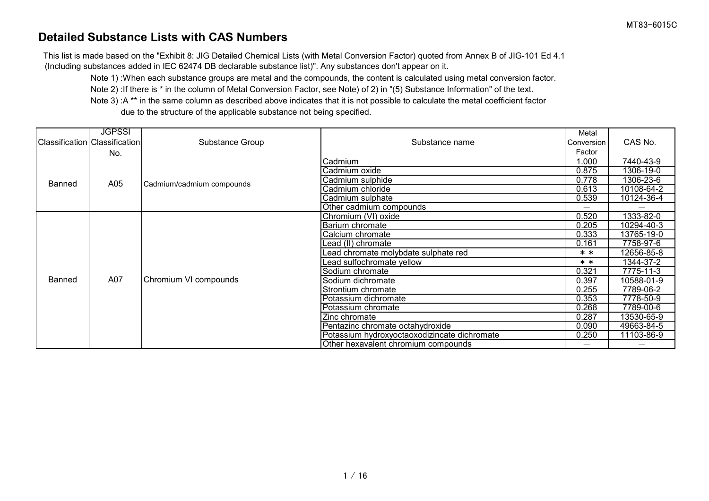## **Detailed Substance Lists with CAS Numbers**

This list is made based on the "Exhibit 8: JIG Detailed Chemical Lists (with Metal Conversion Factor) quoted from Annex B of JIG-101 Ed 4.1 (Including substances added in IEC 62474 DB declarable substance list)". Any substances don't appear on it.

Note 1) :When each substance groups are metal and the compounds, the content is calculated using metal conversion factor.

Note 2) :If there is \* in the column of Metal Conversion Factor, see Note) of 2) in "(5) Substance Information" of the text.

Note 3) :A \*\* in the same column as described above indicates that it is not possible to calculate the metal coefficient factor due to the structure of the applicable substance not being specified.

|        | <b>JGPSSI</b>                 |                           |                                              | Metal      |            |
|--------|-------------------------------|---------------------------|----------------------------------------------|------------|------------|
|        | Classification Classification | Substance Group           | Substance name                               | Conversion | CAS No.    |
|        | No.                           |                           |                                              | Factor     |            |
|        |                               |                           | Cadmium                                      | 1.000      | 7440-43-9  |
|        |                               |                           | Cadmium oxide                                | 0.875      | 1306-19-0  |
| Banned | A05                           | Cadmium/cadmium compounds | Cadmium sulphide                             | 0.778      | 1306-23-6  |
|        |                               |                           | Cadmium chloride                             | 0.613      | 10108-64-2 |
|        |                               |                           | Cadmium sulphate                             | 0.539      | 10124-36-4 |
|        |                               |                           | Other cadmium compounds                      | —          |            |
|        |                               |                           | Chromium (VI) oxide                          | 0.520      | 1333-82-0  |
|        |                               |                           | Barium chromate                              | 0.205      | 10294-40-3 |
|        |                               |                           | Calcium chromate                             | 0.333      | 13765-19-0 |
|        |                               |                           | Lead (II) chromate                           | 0.161      | 7758-97-6  |
|        |                               |                           | ead chromate molybdate sulphate red          | $* *$      | 12656-85-8 |
|        |                               |                           | ead sulfochromate yellow                     | $* *$      | 1344-37-2  |
|        |                               |                           | Sodium chromate                              | 0.321      | 7775-11-3  |
| Banned | A07                           | Chromium VI compounds     | Sodium dichromate                            | 0.397      | 10588-01-9 |
|        |                               |                           | Strontium chromate                           | 0.255      | 7789-06-2  |
|        |                               |                           | Potassium dichromate                         | 0.353      | 7778-50-9  |
|        |                               |                           | Potassium chromate                           | 0.268      | 7789-00-6  |
|        |                               |                           | Zinc chromate                                | 0.287      | 13530-65-9 |
|        |                               |                           | Pentazinc chromate octahydroxide             | 0.090      | 49663-84-5 |
|        |                               |                           | Potassium hydroxyoctaoxodizincate dichromate | 0.250      | 11103-86-9 |
|        |                               |                           | Other hexavalent chromium compounds          | —          |            |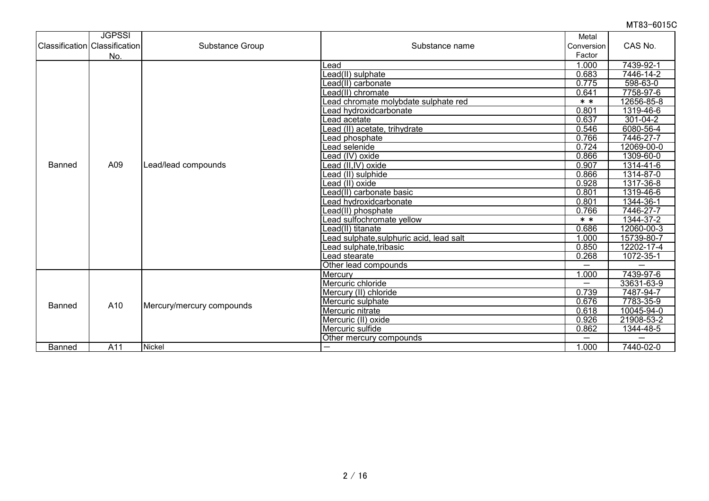|               | <b>JGPSSI</b><br><b>Classification Classification</b><br>No. | Substance Group           | Substance name                          | Metal<br>Conversion<br>Factor | CAS No.                 |
|---------------|--------------------------------------------------------------|---------------------------|-----------------------------------------|-------------------------------|-------------------------|
|               |                                                              |                           | Lead                                    | 1.000                         | 7439-92-1               |
|               |                                                              |                           | $\overline{\text{Lead(II)}}$ sulphate   | 0.683                         | 7446-14-2               |
|               |                                                              |                           | Lead(II) carbonate                      | 0.775                         | 598-63-0                |
|               |                                                              |                           | Lead(II) chromate                       | 0.641                         | 7758-97-6               |
|               |                                                              |                           | Lead chromate molybdate sulphate red    | $* *$                         | 12656-85-8              |
|               |                                                              |                           | Lead hydroxidcarbonate                  | 0.801                         | 1319-46-6               |
|               |                                                              |                           | Lead acetate                            | 0.637                         | $301 - 04 - 2$          |
|               |                                                              |                           | Lead (II) acetate, trihydrate           | 0.546                         | 6080-56-4               |
|               |                                                              |                           | ead phosphate                           | 0.766                         | 7446-27-7               |
|               |                                                              |                           | Lead selenide                           | 0.724                         | 12069-00-0              |
|               |                                                              | Lead/lead compounds       | Lead (IV) oxide                         | 0.866                         | 1309-60-0               |
| <b>Banned</b> | A09                                                          |                           | Lead (II,IV) oxide                      | 0.907                         | 1314-41-6               |
|               |                                                              |                           | Lead (II) sulphide                      | 0.866                         | 1314-87-0               |
|               |                                                              |                           | Lead (II) oxide                         | 0.928                         | 1317-36-8               |
|               |                                                              |                           | Lead(II) carbonate basic                | 0.801                         | 1319-46-6               |
|               |                                                              |                           | Lead hydroxidcarbonate                  | 0.801                         | 1344-36-1               |
|               |                                                              |                           | _ead(II) phosphate                      | 0.766                         | 7446-27-7               |
|               |                                                              |                           | ead sulfochromate yellow                | $* *$                         | 1344-37-2               |
|               |                                                              |                           | _ead(II) titanate                       | 0.686                         | 12060-00-3              |
|               |                                                              |                           | ead sulphate, sulphuric acid, lead salt | .000<br>1                     | 15739-80-7              |
|               |                                                              |                           | Lead sulphate,tribasic                  | 0.850                         | 12202-17-4              |
|               |                                                              |                           | Lead stearate                           | 0.268                         | 1072-35-1               |
|               |                                                              |                           | Other lead compounds                    | $\overline{\phantom{0}}$      |                         |
|               |                                                              |                           | Mercury                                 | .000                          | 7439-97-6               |
|               |                                                              |                           | Mercuric chloride                       | $\overline{\phantom{0}}$      | 33631-63-9              |
|               |                                                              |                           | Mercury (II) chloride                   | 0.739                         | 7487-94-7               |
| Banned        | A10                                                          | Mercury/mercury compounds | Mercuric sulphate                       | 0.676                         | 7783-35-9               |
|               |                                                              |                           | Mercuric nitrate                        | 0.618                         | 10045-94-0              |
|               |                                                              |                           | Mercuric (II) oxide                     | 0.926                         | 21908-53-2              |
|               |                                                              |                           | Mercuric sulfide                        | 0.862                         | 1344-48-5               |
|               |                                                              |                           | Other mercury compounds                 |                               |                         |
| Banned        | A11                                                          | Nickel                    |                                         | 1.000                         | $\overline{74}$ 40-02-0 |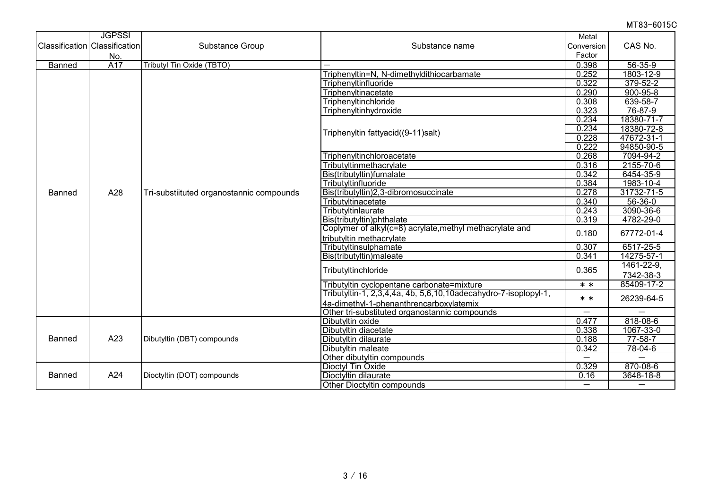|                                      | <b>JGPSSI</b> |                                          |                                                                 | Metal                    |                          |
|--------------------------------------|---------------|------------------------------------------|-----------------------------------------------------------------|--------------------------|--------------------------|
| <b>Classification Classification</b> |               | Substance Group                          | Substance name                                                  | Conversion               | CAS No.                  |
|                                      | No.           |                                          |                                                                 | Factor                   |                          |
| <b>Banned</b>                        | A17           | Tributyl Tin Oxide (TBTO)                |                                                                 | 0.398                    | $56 - 35 - 9$            |
|                                      |               |                                          | Triphenyltin=N, N-dimethyldithiocarbamate                       | 0.252                    | 1803-12-9                |
|                                      |               |                                          | Triphenyltinfluoride                                            | 0.322                    | $379 - 52 - 2$           |
|                                      |               |                                          | Triphenyltinacetate                                             | 0.290                    | $900 - 95 - 8$           |
|                                      |               |                                          | Triphenyltinchloride                                            | 0.308                    | 639-58-7                 |
|                                      |               |                                          | Triphenyltinhydroxide                                           | 0.323                    | 76-87-9                  |
|                                      |               |                                          |                                                                 | 0.234                    | 18380-71-7               |
|                                      |               |                                          |                                                                 | 0.234                    | 18380-72-8               |
|                                      |               |                                          | Triphenyltin fattyacid((9-11)salt)                              | 0.228                    | 47672-31-1               |
|                                      |               |                                          |                                                                 | 0.222                    | 94850-90-5               |
|                                      |               |                                          | Triphenyltinchloroacetate                                       | 0.268                    | 7094-94-2                |
|                                      |               |                                          | Tributyltinmethacrylate                                         | 0.316                    | 2155-70-6                |
|                                      | A28           | Tri-substiituted organostannic compounds | Bis(tributyltin)fumalate                                        | 0.342                    | 6454-35-9                |
|                                      |               |                                          | Tributyltinfluoride                                             | 0.384                    | 1983-10-4                |
| Banned                               |               |                                          | Bis(tributyltin)2,3-dibromosuccinate                            | 0.278                    | 31732-71-5               |
|                                      |               |                                          | Tributyltinacetate                                              | 0.340                    | $56 - 36 - 0$            |
|                                      |               |                                          | Tributyltinlaurate                                              | 0.243                    | 3090-36-6                |
|                                      |               |                                          | Bis(tributyltin)phthalate                                       | 0.319                    | 4782-29-0                |
|                                      |               |                                          | Coplymer of alkyl(c=8) acrylate, methyl methacrylate and        | 0.180                    | 67772-01-4               |
|                                      |               |                                          | tributyltin methacrylate                                        |                          |                          |
|                                      |               |                                          | Tributyltinsulphamate                                           | 0.307                    | 6517-25-5                |
|                                      |               |                                          | Bis(tributyltin)maleate                                         | 0.341                    | 14275-57-1               |
|                                      |               |                                          |                                                                 | 0.365                    | 1461-22-9,               |
|                                      |               |                                          | Tributyltinchloride                                             |                          | 7342-38-3                |
|                                      |               |                                          | Tributyltin cyclopentane carbonate=mixture                      | $* *$                    | 85409-17-2               |
|                                      |               |                                          | Tributyltin-1, 2,3,4,4a, 4b, 5,6,10,10adecahydro-7-isoplopyl-1, | $* *$                    | 26239-64-5               |
|                                      |               |                                          | 4a-dimethyl-1-phenanthrencarboxylatemix                         |                          |                          |
|                                      |               |                                          | Other tri-substituted organostannic compounds                   | $\overline{\phantom{0}}$ | $\overline{\phantom{0}}$ |
|                                      |               |                                          | Dibutyltin oxide                                                | 0.477                    | $818-08-6$               |
|                                      |               |                                          | Dibutyltin diacetate                                            | 0.338                    | 1067-33-0                |
| <b>Banned</b>                        | A23           | Dibutyltin (DBT) compounds               | Dibutyltin dilaurate                                            | 0.188                    | $77 - 58 - 7$            |
|                                      |               |                                          | Dibutyltin maleate                                              | 0.342                    | $78 - 04 - 6$            |
|                                      |               |                                          | Other dibutyltin compounds                                      |                          |                          |
|                                      |               |                                          | Dioctyl Tin Oxide                                               | 0.329                    | 870-08-6                 |
| Banned                               | A24           | Dioctyltin (DOT) compounds               | Dioctyltin dilaurate                                            | 0.16                     | $3648 - 18 - 8$          |
|                                      |               |                                          | Other Dioctyltin compounds                                      | $\overline{\phantom{0}}$ | —                        |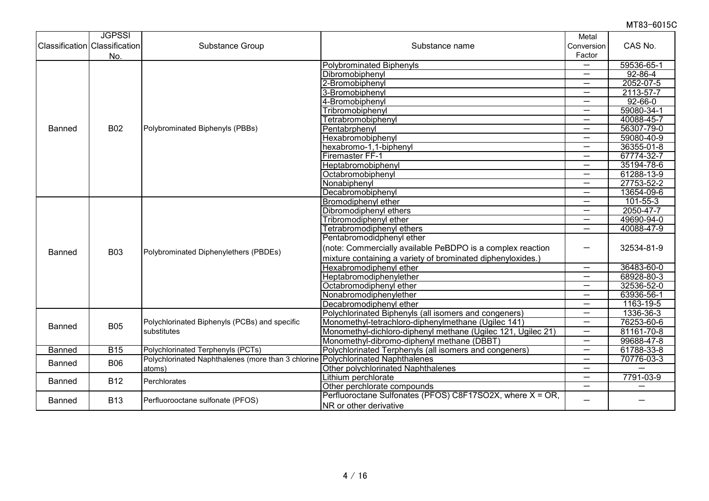|               | <b>JGPSSI</b>                 |                                                                                 |                                                              | Metal                    |                          |
|---------------|-------------------------------|---------------------------------------------------------------------------------|--------------------------------------------------------------|--------------------------|--------------------------|
|               | Classification Classification | <b>Substance Group</b>                                                          | Substance name                                               | Conversion               | CAS No.                  |
|               | No.                           |                                                                                 |                                                              | Factor                   |                          |
|               |                               |                                                                                 | <b>Polybrominated Biphenyls</b>                              |                          | 59536-65-1               |
|               |                               |                                                                                 | Dibromobiphenyl                                              | $\overline{\phantom{0}}$ | $92 - 86 - 4$            |
|               |                               |                                                                                 | 2-Bromobiphenyl                                              | $\overline{\phantom{0}}$ | 2052-07-5                |
|               |                               |                                                                                 | 3-Bromobiphenyl                                              | $\overline{\phantom{0}}$ | 2113-57-7                |
|               |                               |                                                                                 | 4-Bromobiphenyl                                              | —                        | $92 - 66 - 0$            |
|               |                               |                                                                                 | Tribromobiphenyl                                             | $\overline{\phantom{0}}$ | 59080-34-1               |
|               |                               |                                                                                 | Tetrabromobiphenyl                                           | $\overline{\phantom{0}}$ | 40088-45-7               |
| Banned        | <b>B02</b>                    | Polybrominated Biphenyls (PBBs)                                                 | Pentabrphenyl                                                | —                        | 56307-79-0               |
|               |                               |                                                                                 | Hexabromobiphenyl                                            | $\overline{\phantom{0}}$ | 59080-40-9               |
|               |                               |                                                                                 | hexabromo-1,1-biphenyl                                       | $\overline{\phantom{0}}$ | 36355-01-8               |
|               |                               |                                                                                 | Firemaster FF-1                                              | $\overline{\phantom{0}}$ | 67774-32-7               |
|               |                               |                                                                                 | Heptabromobiphenyl                                           | —                        | 35194-78-6               |
|               |                               |                                                                                 | Octabromobiphenyl                                            | $\overline{\phantom{0}}$ | 61288-13-9               |
|               |                               |                                                                                 | Nonabiphenyl                                                 | —                        | 27753-52-2               |
|               |                               |                                                                                 | Decabromobiphenyl                                            | —                        | 13654-09-6               |
|               | <b>B03</b>                    | Polybrominated Diphenylethers (PBDEs)                                           | Bromodiphenyl ether                                          | $\overline{\phantom{0}}$ | $101 - 55 - 3$           |
|               |                               |                                                                                 | Dibromodiphenyl ethers                                       | $\overline{\phantom{0}}$ | 2050-47-7                |
|               |                               |                                                                                 | Tribromodiphenyl ether                                       | $\overline{\phantom{0}}$ | 49690-94-0               |
|               |                               |                                                                                 | Tetrabromodiphenyl ethers                                    | $\overline{\phantom{0}}$ | 40088-47-9               |
|               |                               |                                                                                 | Pentabromodidphenyl ether                                    |                          |                          |
| Banned        |                               |                                                                                 | (note: Commercially available PeBDPO is a complex reaction   |                          | 32534-81-9               |
|               |                               |                                                                                 | mixture containing a variety of brominated diphenyloxides.)  |                          |                          |
|               |                               |                                                                                 | Hexabromodiphenyl ether                                      | $\overline{\phantom{0}}$ | 36483-60-0               |
|               |                               |                                                                                 | Heptabromodiphenylether                                      | $\overline{\phantom{0}}$ | 68928-80-3               |
|               |                               |                                                                                 | Octabromodiphenyl ether                                      | $\overline{\phantom{0}}$ | 32536-52-0               |
|               |                               |                                                                                 | Nonabromodiphenylether                                       | $\overline{\phantom{0}}$ | 63936-56-1               |
|               |                               |                                                                                 | Decabromodiphenyl ether                                      | —                        | 1163-19-5                |
|               |                               |                                                                                 | Polychlorinated Biphenyls (all isomers and congeners)        | —                        | 1336-36-3                |
| Banned        | <b>B05</b>                    | Polychlorinated Biphenyls (PCBs) and specific                                   | Monomethyl-tetrachloro-diphenylmethane (Ugilec 141)          | $\overline{\phantom{0}}$ | 76253-60-6               |
|               |                               | substitutes                                                                     | Monomethyl-dichloro-diphenyl methane (Ugilec 121, Ugilec 21) | $\overline{\phantom{0}}$ | 81161-70-8               |
|               |                               |                                                                                 | Monomethyl-dibromo-diphenyl methane (DBBT)                   | $\overline{\phantom{0}}$ | 99688-47-8               |
| <b>Banned</b> | <b>B15</b>                    | Polychlorinated Terphenyls (PCTs)                                               | Polychlorinated Terphenyls (all isomers and congeners)       | $\overline{\phantom{0}}$ | 61788-33-8               |
| Banned        | <b>B06</b>                    | Polychlorinated Naphthalenes (more than 3 chlorine Polychlorinated Naphthalenes |                                                              | —                        | 70776-03-3               |
|               |                               | atoms)                                                                          | Other polychlorinated Naphthalenes                           | $\overline{\phantom{0}}$ |                          |
| Banned        | <b>B12</b>                    | Perchlorates                                                                    | Lithium perchlorate                                          | $\overline{\phantom{0}}$ | 7791-03-9                |
|               |                               |                                                                                 | Other perchlorate compounds                                  | $\overline{\phantom{0}}$ | $\overline{\phantom{0}}$ |
| <b>Banned</b> | <b>B13</b>                    | Perfluorooctane sulfonate (PFOS)                                                | Perfluoroctane Sulfonates (PFOS) C8F17SO2X, where X = OR,    |                          |                          |
|               |                               |                                                                                 | NR or other derivative                                       |                          |                          |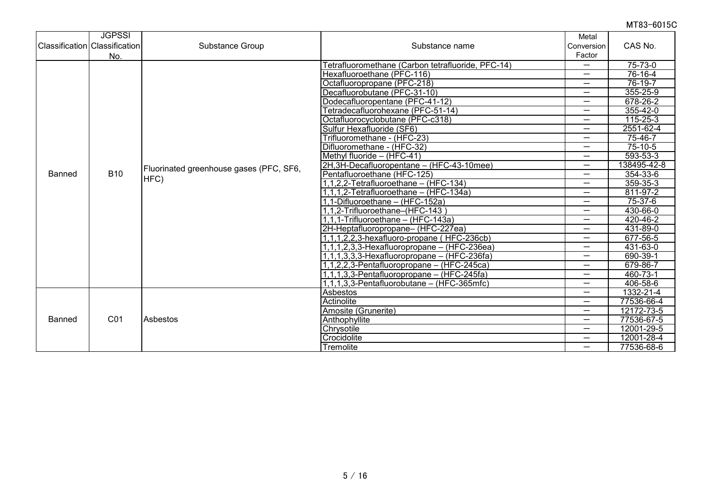|               | <b>JGPSSI</b><br><b>Classification</b> Classification<br>No. | Substance Group                                 | Substance name                                    | Metal<br>Conversion<br>Factor | CAS No.        |
|---------------|--------------------------------------------------------------|-------------------------------------------------|---------------------------------------------------|-------------------------------|----------------|
|               |                                                              |                                                 | Fetrafluoromethane (Carbon tetrafluoride, PFC-14) | $\overline{\phantom{0}}$      | $75 - 73 - 0$  |
|               |                                                              |                                                 | Hexafluoroethane (PFC-116)                        |                               | 76-16-4        |
|               |                                                              |                                                 | Octafluoropropane (PFC-218)                       | —                             | $76-19-7$      |
|               |                                                              |                                                 | Decafluorobutane (PFC-31-10)                      | $\overline{\phantom{0}}$      | $355 - 25 - 9$ |
|               |                                                              |                                                 | Dodecafluoropentane (PFC-41-12)                   | —                             | 678-26-2       |
|               |                                                              |                                                 | Tetradecafluorohexane (PFC-51-14)                 | $\overline{\phantom{0}}$      | $355 - 42 - 0$ |
|               |                                                              |                                                 | Octafluorocyclobutane (PFC-c318)                  | —                             | $115 - 25 - 3$ |
|               |                                                              |                                                 | Sulfur Hexafluoride (SF6)                         | —                             | 2551-62-4      |
|               |                                                              |                                                 | Trifluoromethane - (HFC-23)                       | $\overline{\phantom{0}}$      | $75 - 46 - 7$  |
|               |                                                              |                                                 | Difluoromethane - (HFC-32)                        | —                             | $75 - 10 - 5$  |
|               |                                                              | Fluorinated greenhouse gases (PFC, SF6,<br>HFC) | Methyl fluoride - (HFC-41)                        | —                             | $593 - 53 - 3$ |
|               | <b>B10</b>                                                   |                                                 | 2H, 3H-Decafluoropentane - (HFC-43-10mee)         | —                             | 138495-42-8    |
| Banned        |                                                              |                                                 | Pentafluoroethane (HFC-125)                       | —                             | 354-33-6       |
|               |                                                              |                                                 | 1,1,2,2-Tetrafluoroethane - (HFC-134)             | —                             | 359-35-3       |
|               |                                                              |                                                 | $1,1,1,2$ -Tetrafluoroethane – (HFC-134a)         | —                             | 811-97-2       |
|               |                                                              |                                                 | 1,1-Difluoroethane - (HFC-152a)                   | —                             | $75 - 37 - 6$  |
|               |                                                              |                                                 | 1,1,2-Trifluoroethane-(HFC-143)                   | $\overline{\phantom{0}}$      | 430-66-0       |
|               |                                                              |                                                 | 1,1,1-Trifluoroethane - (HFC-143a)                | $\overline{\phantom{0}}$      | 420-46-2       |
|               |                                                              |                                                 | 2H-Heptafluoropropane-(HFC-227ea)                 | —                             | 431-89-0       |
|               |                                                              |                                                 | 1,1,1,2,2,3-hexafluoro-propane (HFC-236cb)        | —                             | 677-56-5       |
|               |                                                              |                                                 | $1,1,1,2,3,3$ -Hexafluoropropane - (HFC-236ea)    | —                             | 431-63-0       |
|               |                                                              |                                                 | $1,1,1,3,3,3$ -Hexafluoropropane - (HFC-236fa)    | $\overline{\phantom{0}}$      | 690-39-1       |
|               |                                                              |                                                 | 1,1,2,2,3-Pentafluoropropane - (HFC-245ca)        | $\overline{\phantom{0}}$      | 679-86-7       |
|               |                                                              |                                                 | $1,1,1,3,3$ -Pentafluoropropane – (HFC-245fa)     | —                             | 460-73-1       |
|               |                                                              |                                                 | $1,1,1,3,3$ -Pentafluorobutane - (HFC-365mfc)     | —                             | 406-58-6       |
|               |                                                              |                                                 | <b>Asbestos</b>                                   | —                             | 1332-21-4      |
|               |                                                              |                                                 | Actinolite                                        | $\overline{\phantom{0}}$      | 77536-66-4     |
|               |                                                              |                                                 | Amosite (Grunerite)                               | $\overline{\phantom{0}}$      | 12172-73-5     |
| <b>Banned</b> | C01                                                          | Asbestos                                        | Anthophyllite                                     | —                             | 77536-67-5     |
|               |                                                              |                                                 | Chrysotile                                        | —                             | 12001-29-5     |
|               |                                                              |                                                 | Crocidolite                                       | —                             | 12001-28-4     |
|               |                                                              |                                                 | Tremolite                                         | —                             | 77536-68-6     |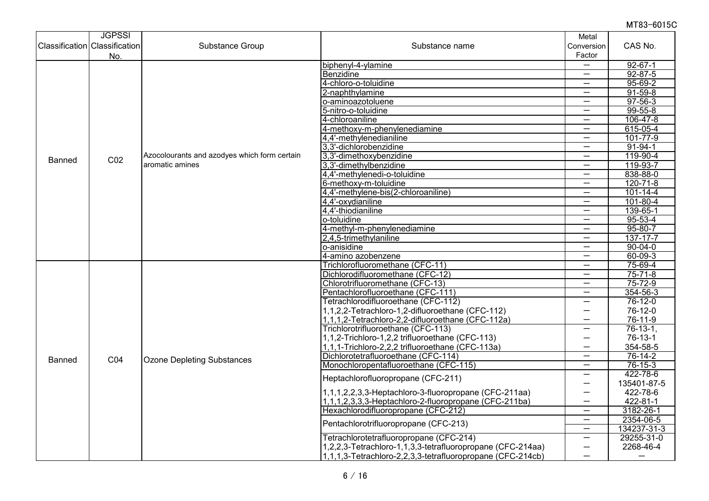|        | <b>JGPSSI</b>                        |                                                                 |                                                              | Metal                         |                      |
|--------|--------------------------------------|-----------------------------------------------------------------|--------------------------------------------------------------|-------------------------------|----------------------|
|        | <b>Classification Classification</b> | Substance Group                                                 | Substance name                                               | Conversion                    | CAS No.              |
|        | No.                                  |                                                                 |                                                              | Factor                        |                      |
|        |                                      |                                                                 | biphenyl-4-ylamine                                           | —                             | $92 - 67 - 1$        |
|        |                                      |                                                                 | Benzidine                                                    | —                             | $92 - 87 - 5$        |
|        |                                      |                                                                 | 4-chloro-o-toluidine                                         | $\overline{\phantom{0}}$      | $95 - 69 - 2$        |
|        |                                      |                                                                 | 2-naphthylamine                                              | $\qquad \qquad -$             | $91 - 59 - 8$        |
|        |                                      |                                                                 | o-aminoazotoluene                                            | —                             | $97 - 56 - 3$        |
|        |                                      |                                                                 | 5-nitro-o-toluidine                                          |                               | $99 - 55 - 8$        |
|        |                                      |                                                                 | 4-chloroaniline                                              | $\equiv$                      | $106 - 47 - 8$       |
|        |                                      |                                                                 | 4-methoxy-m-phenylenediamine                                 | $\overline{\phantom{0}}$      | 615-05-4             |
|        |                                      |                                                                 | 4,4'-methylenedianiline                                      | $\overline{\phantom{0}}$      | 101-77-9             |
|        |                                      |                                                                 | 3,3'-dichlorobenzidine                                       | $\overline{\phantom{0}}$      | $91 - 94 - 1$        |
| Banned | CO <sub>2</sub>                      | Azocolourants and azodyes which form certain<br>aromatic amines | 3,3'-dimethoxybenzidine                                      | $\overline{\phantom{0}}$      | 119-90-4             |
|        |                                      |                                                                 | 3,3'-dimethylbenzidine                                       | —<br>$\overline{\phantom{0}}$ | 119-93-7<br>838-88-0 |
|        |                                      |                                                                 | 4,4'-methylenedi-o-toluidine                                 |                               | $120 - 71 - 8$       |
|        |                                      |                                                                 | 6-methoxy-m-toluidine<br>4,4'-methylene-bis(2-chloroaniline) | —<br>—                        | $101 - 14 - 4$       |
|        |                                      |                                                                 | 4,4'-oxydianiline                                            |                               | $101 - 80 - 4$       |
|        |                                      |                                                                 | 4,4'-thiodianiline                                           | —                             | 139-65-1             |
|        |                                      |                                                                 | o-toluidine                                                  | —                             | $95 - 53 - 4$        |
|        |                                      |                                                                 | 4-methyl-m-phenylenediamine                                  | $\overline{\phantom{0}}$      | $95 - 80 - 7$        |
|        |                                      |                                                                 | 2,4,5-trimethylaniline                                       | $\overline{\phantom{0}}$      | $137 - 17 - 7$       |
|        |                                      |                                                                 | o-anisidine                                                  | —                             | $90 - 04 - 0$        |
|        |                                      |                                                                 | 4-amino azobenzene                                           | $\overline{\phantom{0}}$      | $60 - 09 - 3$        |
|        |                                      |                                                                 | Trichlorofluoromethane (CFC-11)                              | $\overline{\phantom{0}}$      | 75-69-4              |
|        |                                      |                                                                 | Dichlorodifluoromethane (CFC-12)                             | $\overline{\phantom{0}}$      | $75 - 71 - 8$        |
|        |                                      |                                                                 | Chlorotrifluoromethane (CFC-13)                              |                               | $75 - 72 - 9$        |
|        |                                      |                                                                 | Pentachlorofluoroethane (CFC-111)                            | —                             | $354 - 56 - 3$       |
|        |                                      |                                                                 | Tetrachlorodifluoroethane (CFC-112)                          | —                             | $76 - 12 - 0$        |
|        |                                      |                                                                 | 1,1,2,2-Tetrachloro-1,2-difluoroethane (CFC-112)             | $\overline{\phantom{0}}$      | 76-12-0              |
|        |                                      |                                                                 | 1,1,1,2-Tetrachloro-2,2-difluoroethane (CFC-112a)            |                               | 76-11-9              |
|        |                                      |                                                                 | Trichlorotrifluoroethane (CFC-113)                           | $\overline{\phantom{0}}$      | $76-13-1,$           |
|        |                                      |                                                                 | 1,1,2-Trichloro-1,2,2 trifluoroethane (CFC-113)              | —                             | $76-13-1$            |
|        |                                      |                                                                 | 1,1,1-Trichloro-2,2,2 trifluoroethane (CFC-113a)             | —                             | 354-58-5             |
| Banned | CO <sub>4</sub>                      | <b>Ozone Depleting Substances</b>                               | Dichlorotetrafluoroethane (CFC-114)                          | —                             | $76 - 14 - 2$        |
|        |                                      |                                                                 | Monochloropentafluoroethane (CFC-115)                        | $\overline{\phantom{0}}$      | $76 - 15 - 3$        |
|        |                                      |                                                                 | Heptachlorofluoropropane (CFC-211)                           | $\overline{\phantom{0}}$      | 422-78-6             |
|        |                                      |                                                                 |                                                              | —                             | 135401-87-5          |
|        |                                      |                                                                 | 1,1,1,2,2,3,3-Heptachloro-3-fluoropropane (CFC-211aa)        | —                             | 422-78-6             |
|        |                                      |                                                                 | 1,1,1,2,3,3,3-Heptachloro-2-fluoropropane (CFC-211ba)        | $\overline{\phantom{0}}$      | 422-81-1             |
|        |                                      |                                                                 | Hexachlorodifluoropropane (CFC-212)                          | $\overline{\phantom{0}}$      | 3182-26-1            |
|        |                                      |                                                                 | Pentachlorotrifluoropropane (CFC-213)                        | —                             | 2354-06-5            |
|        |                                      |                                                                 |                                                              | $\overline{\phantom{0}}$      | 134237-31-3          |
|        |                                      |                                                                 | Tetrachlorotetrafluoropropane (CFC-214)                      | —                             | 29255-31-0           |
|        |                                      |                                                                 | 1,2,2,3-Tetrachloro-1,1,3,3-tetrafluoropropane (CFC-214aa)   | —                             | 2268-46-4            |
|        |                                      |                                                                 | 1,1,1,3-Tetrachloro-2,2,3,3-tetrafluoropropane (CFC-214cb)   | $\overline{\phantom{0}}$      |                      |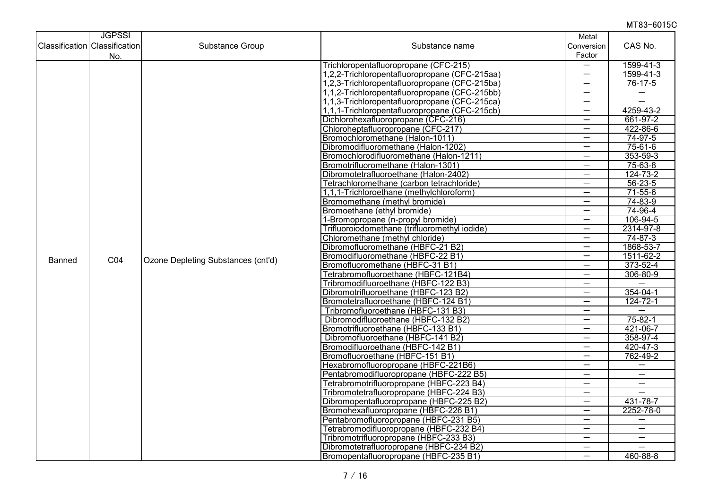|        | <b>JGPSSI</b>                        |                                    |                                               | Metal                                                |                                                      |
|--------|--------------------------------------|------------------------------------|-----------------------------------------------|------------------------------------------------------|------------------------------------------------------|
|        | <b>Classification Classification</b> | Substance Group                    | Substance name                                | Conversion                                           | CAS No.                                              |
|        | No.                                  |                                    |                                               | Factor                                               |                                                      |
|        |                                      |                                    | Trichloropentafluoropropane (CFC-215)         | —                                                    | 1599-41-3                                            |
|        |                                      |                                    | 1,2,2-Trichloropentafluoropropane (CFC-215aa) | —                                                    | 1599-41-3                                            |
|        |                                      |                                    | 1,2,3-Trichloropentafluoropropane (CFC-215ba) | —                                                    | 76-17-5                                              |
|        |                                      |                                    | 1,1,2-Trichloropentafluoropropane (CFC-215bb) | -                                                    |                                                      |
|        |                                      |                                    | 1,1,3-Trichloropentafluoropropane (CFC-215ca) | —                                                    |                                                      |
|        |                                      |                                    | 1,1,1-Trichloropentafluoropropane (CFC-215cb) |                                                      | 4259-43-2                                            |
|        |                                      |                                    | Dichlorohexafluoropropane (CFC-216)           | $\overline{\phantom{0}}$                             | 661-97-2                                             |
|        |                                      |                                    | Chloroheptafluoropropane (CFC-217)            | $\overline{\phantom{0}}$                             | 422-86-6                                             |
|        |                                      |                                    | Bromochloromethane (Halon-1011)               | $\overline{\phantom{0}}$                             | $74-97-5$                                            |
|        |                                      |                                    | Dibromodifluoromethane (Halon-1202)           | $\qquad \qquad -$                                    | $75-61-6$                                            |
|        |                                      |                                    | Bromochlorodifluoromethane (Halon-1211)       | $\overline{\phantom{0}}$                             | $353 - 59 - 3$                                       |
|        |                                      |                                    | Bromotrifluoromethane (Halon-1301)            | $\overline{\phantom{0}}$                             | $75 - 63 - 8$                                        |
|        |                                      |                                    | Dibromotetrafluoroethane (Halon-2402)         | $\overline{\phantom{0}}$                             | $124 - 73 - 2$                                       |
|        |                                      |                                    | Tetrachloromethane (carbon tetrachloride)     |                                                      | $56 - 23 - 5$                                        |
|        |                                      |                                    | 1,1,1-Trichloroethane (methylchloroform)      | $\overline{\phantom{0}}$                             | $71 - 55 - 6$                                        |
|        |                                      |                                    | Bromomethane (methyl bromide)                 | $\overline{\phantom{m}}$                             | 74-83-9                                              |
|        |                                      |                                    | Bromoethane (ethyl bromide)                   | —                                                    | $74 - 96 - 4$                                        |
|        |                                      |                                    | 1-Bromopropane (n-propyl bromide)             | —                                                    | 106-94-5                                             |
|        |                                      |                                    | Trifluoroiodomethane (trifluoromethyl iodide) | $\overline{\phantom{0}}$                             | 2314-97-8                                            |
|        |                                      |                                    | Chloromethane (methyl chloride)               | —                                                    | $74 - 87 - 3$                                        |
|        |                                      |                                    | Dibromofluoromethane (HBFC-21 B2)             | —                                                    | 1868-53-7                                            |
| Banned | C04                                  | Ozone Depleting Substances (cnt'd) | Bromodifluoromethane (HBFC-22 B1)             |                                                      | 1511-62-2                                            |
|        |                                      |                                    | Bromofluoromethane (HBFC-31 B1)               | $\overline{\phantom{0}}$                             | $373 - 52 - 4$                                       |
|        |                                      |                                    | Tetrabromofluoroethane (HBFC-121B4)           | —                                                    | $306 - 80 - 9$                                       |
|        |                                      |                                    | Tribromodifluoroethane (HBFC-122 B3)          | $\overline{\phantom{0}}$                             |                                                      |
|        |                                      |                                    | Dibromotrifluoroethane (HBFC-123 B2)          | $\overline{\phantom{0}}$                             | $354 - 04 - 1$                                       |
|        |                                      |                                    | Bromotetrafluoroethane (HBFC-124 B1)          | —                                                    | $124 - 72 - 1$                                       |
|        |                                      |                                    | Tribromofluoroethane (HBFC-131 B3)            | $\overline{\phantom{0}}$                             |                                                      |
|        |                                      |                                    | Dibromodifluoroethane (HBFC-132 B2)           | —                                                    | $75 - 82 - 1$                                        |
|        |                                      |                                    | Bromotrifluoroethane (HBFC-133 B1)            | $\overline{\phantom{0}}$                             | 421-06-7                                             |
|        |                                      |                                    | Dibromofluoroethane (HBFC-141 B2)             | $\overline{\phantom{0}}$                             | 358-97-4                                             |
|        |                                      |                                    | Bromodifluoroethane (HBFC-142 B1)             | —                                                    | $420 - 47 - 3$                                       |
|        |                                      |                                    | Bromofluoroethane (HBFC-151 B1)               | —                                                    | 762-49-2                                             |
|        |                                      |                                    | Hexabromofluoropropane (HBFC-221B6)           | $\qquad \qquad -$                                    | $\overline{\phantom{m}}$                             |
|        |                                      |                                    | Pentabromodifluoropropane (HBFC-222 B5)       |                                                      |                                                      |
|        |                                      |                                    | Tetrabromotrifluoropropane (HBFC-223 B4)      | $\overline{\phantom{0}}$<br>$\overline{\phantom{0}}$ | $\overline{\phantom{0}}$<br>$\overline{\phantom{0}}$ |
|        |                                      |                                    | Tribromotetrafluoropropane (HBFC-224 B3)      |                                                      |                                                      |
|        |                                      |                                    | Dibromopentafluoropropane (HBFC-225 B2)       | $\overline{\phantom{0}}$<br>$\overline{\phantom{0}}$ | 431-78-7                                             |
|        |                                      |                                    | Bromohexafluoropropane (HBFC-226 B1)          |                                                      | 2252-78-0                                            |
|        |                                      |                                    | Pentabromofluoropropane (HBFC-231 B5)         |                                                      |                                                      |
|        |                                      |                                    | Tetrabromodifluoropropane (HBFC-232 B4)       | $\qquad \qquad -$                                    | $\overline{\phantom{0}}$<br>$\overline{\phantom{0}}$ |
|        |                                      |                                    | Tribromotrifluoropropane (HBFC-233 B3)        | $\overline{\phantom{0}}$                             | $\overline{\phantom{0}}$                             |
|        |                                      |                                    | Dibromotetrafluoropropane (HBFC-234 B2)       | —<br>$\overline{\phantom{0}}$                        |                                                      |
|        |                                      |                                    | Bromopentafluoropropane (HBFC-235 B1)         |                                                      | 460-88-8                                             |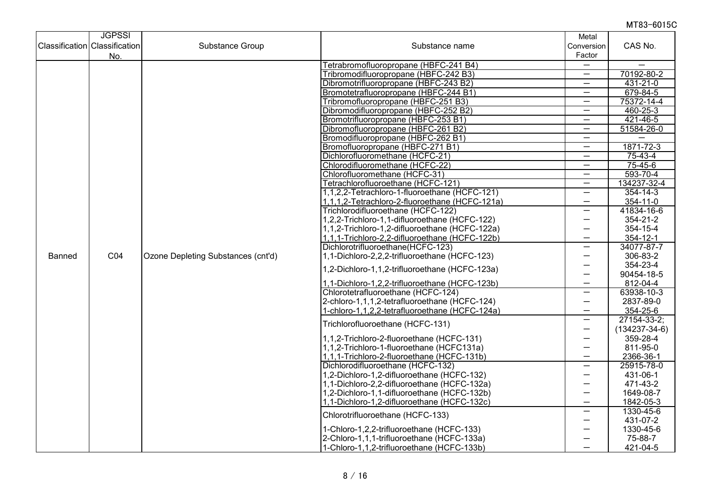|                                      | <b>JGPSSI</b>   |                                    |                                                | Metal                    |                     |
|--------------------------------------|-----------------|------------------------------------|------------------------------------------------|--------------------------|---------------------|
| <b>Classification Classification</b> |                 | Substance Group                    | Substance name                                 | Conversion               | CAS No.             |
|                                      | No.             |                                    |                                                | Factor                   |                     |
|                                      |                 |                                    | Tetrabromofluoropropane (HBFC-241 B4)          | —                        |                     |
|                                      |                 |                                    | Tribromodifluoropropane (HBFC-242 B3)          | $\overline{\phantom{m}}$ | 70192-80-2          |
|                                      |                 |                                    | Dibromotrifluoropropane (HBFC-243 B2)          | —                        | 431-21-0            |
|                                      |                 |                                    | Bromotetrafluoropropane (HBFC-244 B1)          | $\overline{\phantom{0}}$ | 679-84-5            |
|                                      |                 |                                    | Tribromofluoropropane (HBFC-251 B3)            | —                        | 75372-14-4          |
|                                      |                 |                                    | Dibromodifluoropropane (HBFC-252 B2)           | $\overline{\phantom{0}}$ | $460 - 25 - 3$      |
|                                      |                 |                                    | Bromotrifluoropropane (HBFC-253 B1)            | $\overline{\phantom{0}}$ | 421-46-5            |
|                                      |                 |                                    | Dibromofluoropropane (HBFC-261 B2)             | $\overline{\phantom{0}}$ | 51584-26-0          |
|                                      |                 |                                    | Bromodifluoropropane (HBFC-262 B1)             | $\overline{\phantom{0}}$ |                     |
|                                      |                 |                                    | Bromofluoropropane (HBFC-271 B1)               | $\overline{\phantom{0}}$ | 1871-72-3           |
|                                      |                 |                                    | Dichlorofluoromethane (HCFC-21)                | —                        | $75-43-4$           |
|                                      |                 |                                    | Chlorodifluoromethane (HCFC-22)                | —                        | $75 - 45 - 6$       |
|                                      |                 |                                    | Chlorofluoromethane (HCFC-31)                  | $\overline{\phantom{m}}$ | 593-70-4            |
|                                      |                 |                                    | Tetrachlorofluoroethane (HCFC-121)             | $\overline{\phantom{0}}$ | 134237-32-4         |
|                                      |                 |                                    | 1,1,2,2-Tetrachloro-1-fluoroethane (HCFC-121)  | $\overline{\phantom{0}}$ | $354 - 14 - 3$      |
|                                      |                 |                                    | 1,1,1,2-Tetrachloro-2-fluoroethane (HCFC-121a) | —                        | 354-11-0            |
|                                      |                 |                                    | Trichlorodifluoroethane (HCFC-122)             | $\overline{\phantom{0}}$ | 41834-16-6          |
|                                      |                 |                                    | 1,2,2-Trichloro-1,1-difluoroethane (HCFC-122)  | —                        | $354 - 21 - 2$      |
|                                      |                 |                                    | 1,1,2-Trichloro-1,2-difluoroethane (HCFC-122a) | —                        | 354-15-4            |
|                                      |                 |                                    | 1,1,1-Trichloro-2,2-difluoroethane (HCFC-122b) | $\overline{\phantom{0}}$ | $354 - 12 - 1$      |
|                                      |                 |                                    | Dichlorotrifluoroethane(HCFC-123)              | —                        | 34077-87-7          |
| Banned                               | CO <sub>4</sub> | Ozone Depleting Substances (cnt'd) | 1,1-Dichloro-2,2,2-trifluoroethane (HCFC-123)  | —                        | 306-83-2            |
|                                      |                 |                                    |                                                | —                        | 354-23-4            |
|                                      |                 |                                    | 1,2-Dichloro-1,1,2-trifluoroethane (HCFC-123a) | $\overline{\phantom{0}}$ | 90454-18-5          |
|                                      |                 |                                    | 1,1-Dichloro-1,2,2-trifluoroethane (HCFC-123b) | $\overline{\phantom{0}}$ | 812-04-4            |
|                                      |                 |                                    | Chlorotetrafluoroethane (HCFC-124)             | $\overline{\phantom{0}}$ | 63938-10-3          |
|                                      |                 |                                    | 2-chloro-1,1,1,2-tetrafluoroethane (HCFC-124)  | —                        | 2837-89-0           |
|                                      |                 |                                    | 1-chloro-1,1,2,2-tetrafluoroethane (HCFC-124a) | $\overline{\phantom{0}}$ | 354-25-6            |
|                                      |                 |                                    |                                                | —                        | 27154-33-2;         |
|                                      |                 |                                    | Trichlorofluoroethane (HCFC-131)               | $\overline{\phantom{0}}$ | $(134237 - 34 - 6)$ |
|                                      |                 |                                    | 1,1,2-Trichloro-2-fluoroethane (HCFC-131)      | —                        | 359-28-4            |
|                                      |                 |                                    | 1,1,2-Trichloro-1-fluoroethane (HCFC131a)      | —                        | 811-95-0            |
|                                      |                 |                                    | 1,1,1-Trichloro-2-fluoroethane (HCFC-131b)     | $\overline{\phantom{0}}$ | 2366-36-1           |
|                                      |                 |                                    | Dichlorodifluoroethane (HCFC-132)              | —                        | 25915-78-0          |
|                                      |                 |                                    | 1,2-Dichloro-1,2-difluoroethane (HCFC-132)     | —                        | 431-06-1            |
|                                      |                 |                                    | 1,1-Dichloro-2,2-difluoroethane (HCFC-132a)    | —                        | 471-43-2            |
|                                      |                 |                                    | 1,2-Dichloro-1,1-difluoroethane (HCFC-132b)    | —                        | 1649-08-7           |
|                                      |                 |                                    | 1,1-Dichloro-1,2-difluoroethane (HCFC-132c)    | $\overline{\phantom{0}}$ | 1842-05-3           |
|                                      |                 |                                    |                                                | —                        | 1330-45-6           |
|                                      |                 |                                    | Chlorotrifluoroethane (HCFC-133)               | —                        | 431-07-2            |
|                                      |                 |                                    | 1-Chloro-1,2,2-trifluoroethane (HCFC-133)      | —                        | 1330-45-6           |
|                                      |                 |                                    | 2-Chloro-1,1,1-trifluoroethane (HCFC-133a)     |                          | 75-88-7             |
|                                      |                 |                                    | 1-Chloro-1,1,2-trifluoroethane (HCFC-133b)     |                          | 421-04-5            |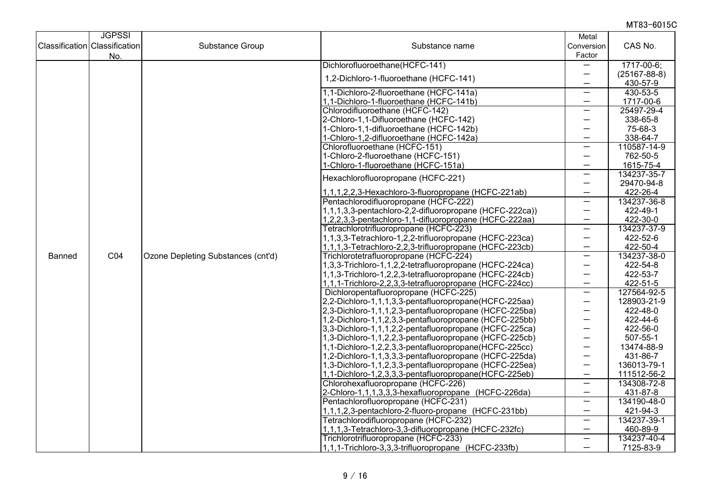|                                      | <b>JGPSSI</b>   |                                        |                                                                                                                    | Metal                    |                    |
|--------------------------------------|-----------------|----------------------------------------|--------------------------------------------------------------------------------------------------------------------|--------------------------|--------------------|
| <b>Classification Classification</b> |                 | Substance Group                        | Substance name                                                                                                     | Conversion               | CAS No.            |
|                                      | No.             |                                        |                                                                                                                    | Factor                   |                    |
|                                      |                 |                                        | Dichlorofluoroethane(HCFC-141)                                                                                     |                          | 1717-00-6;         |
|                                      |                 |                                        | 1.2-Dichloro-1-fluoroethane (HCFC-141)                                                                             | $\overline{\phantom{0}}$ | $(25167 - 88 - 8)$ |
|                                      |                 |                                        |                                                                                                                    | —                        | 430-57-9           |
|                                      |                 |                                        | 1,1-Dichloro-2-fluoroethane (HCFC-141a)                                                                            | $\overline{\phantom{0}}$ | 430-53-5           |
|                                      |                 |                                        | 1,1-Dichloro-1-fluoroethane (HCFC-141b)                                                                            | $\overline{\phantom{0}}$ | 1717-00-6          |
|                                      |                 |                                        | Chlorodifluoroethane (HCFC-142)                                                                                    | $\overline{\phantom{0}}$ | 25497-29-4         |
|                                      |                 |                                        | 2-Chloro-1,1-Difluoroethane (HCFC-142)                                                                             | —                        | 338-65-8           |
|                                      |                 |                                        | 1-Chloro-1,1-difluoroethane (HCFC-142b)                                                                            | —                        | 75-68-3            |
|                                      |                 |                                        | 1-Chloro-1,2-difluoroethane (HCFC-142a)                                                                            | —                        | 338-64-7           |
|                                      |                 |                                        | Chlorofluoroethane (HCFC-151)                                                                                      | —                        | 110587-14-9        |
|                                      |                 |                                        | 1-Chloro-2-fluoroethane (HCFC-151)                                                                                 | —                        | 762-50-5           |
|                                      |                 |                                        | 1-Chloro-1-fluoroethane (HCFC-151a)                                                                                | $\overline{\phantom{0}}$ | 1615-75-4          |
|                                      |                 |                                        | Hexachlorofluoropropane (HCFC-221)                                                                                 | $\overline{\phantom{0}}$ | 134237-35-7        |
|                                      |                 |                                        |                                                                                                                    | —                        | 29470-94-8         |
|                                      |                 |                                        | 1,1,1,2,2,3-Hexachloro-3-fluoropropane (HCFC-221ab)                                                                | $\overline{\phantom{0}}$ | 422-26-4           |
|                                      |                 |                                        | Pentachlorodifluoropropane (HCFC-222)                                                                              | —                        | 134237-36-8        |
|                                      |                 |                                        | 1,1,1,3,3-pentachloro-2,2-difluoropropane (HCFC-222ca))                                                            | —                        | 422-49-1           |
|                                      |                 |                                        | 1,2,2,3,3-pentachloro-1,1-difluoropropane (HCFC-222aa)                                                             | —                        | 422-30-0           |
|                                      |                 | Tetrachlorotrifluoropropane (HCFC-223) | —                                                                                                                  | 134237-37-9<br>422-52-6  |                    |
|                                      |                 |                                        | 1,1,3,3-Tetrachloro-1,2,2-trifluoropropane (HCFC-223ca)<br>1,1,1,3-Tetrachloro-2,2,3-trifluoropropane (HCFC-223cb) | —<br>—                   | 422-50-4           |
| Banned                               | CO <sub>4</sub> | Ozone Depleting Substances (cnt'd)     | Trichlorotetrafluoropropane (HCFC-224)                                                                             | —                        | 134237-38-0        |
|                                      |                 |                                        | 1,3,3-Trichloro-1,1,2,2-tetrafluoropropane (HCFC-224ca)                                                            | —                        | 422-54-8           |
|                                      |                 |                                        | 1,1,3-Trichloro-1,2,2,3-tetrafluoropropane (HCFC-224cb)                                                            | $\overline{\phantom{0}}$ | 422-53-7           |
|                                      |                 |                                        | 1,1,1-Trichloro-2,2,3,3-tetrafluoropropane (HCFC-224cc)                                                            | $\overline{\phantom{0}}$ | 422-51-5           |
|                                      |                 |                                        | Dichloropentafluoropropane (HCFC-225)                                                                              | $\overline{\phantom{0}}$ | 127564-92-5        |
|                                      |                 |                                        | 2,2-Dichloro-1,1,1,3,3-pentafluoropropane(HCFC-225aa)                                                              | —                        | 128903-21-9        |
|                                      |                 |                                        | 2,3-Dichloro-1,1,1,2,3-pentafluoropropane (HCFC-225ba)                                                             | —                        | 422-48-0           |
|                                      |                 |                                        | 1,2-Dichloro-1,1,2,3,3-pentafluoropropane (HCFC-225bb)                                                             | —                        | 422-44-6           |
|                                      |                 |                                        | 3,3-Dichloro-1,1,1,2,2-pentafluoropropane (HCFC-225ca)                                                             | —                        | 422-56-0           |
|                                      |                 |                                        | 1,3-Dichloro-1,1,2,2,3-pentafluoropropane (HCFC-225cb)                                                             | —                        | 507-55-1           |
|                                      |                 |                                        | 1,1-Dichloro-1,2,2,3,3-pentafluoropropane(HCFC-225cc)                                                              | —                        | 13474-88-9         |
|                                      |                 |                                        | 1,2-Dichloro-1,1,3,3,3-pentafluoropropane (HCFC-225da)                                                             | —                        | 431-86-7           |
|                                      |                 |                                        | 1,3-Dichloro-1,1,2,3,3-pentafluoropropane (HCFC-225ea)                                                             | —                        | 136013-79-1        |
|                                      |                 |                                        | 1,1-Dichloro-1,2,3,3,3-pentafluoropropane(HCFC-225eb)                                                              | $\overline{\phantom{0}}$ | 111512-56-2        |
|                                      |                 |                                        | Chlorohexafluoropropane (HCFC-226)                                                                                 | $\overline{\phantom{0}}$ | 134308-72-8        |
|                                      |                 |                                        | 2-Chloro-1,1,1,3,3,3-hexafluoropropane (HCFC-226da)                                                                | $\overline{\phantom{0}}$ | 431-87-8           |
|                                      |                 |                                        | Pentachlorofluoropropane (HCFC-231)                                                                                | $\overline{\phantom{0}}$ | 134190-48-0        |
|                                      |                 |                                        | 1,1,1,2,3-pentachloro-2-fluoro-propane (HCFC-231bb)                                                                | —                        | 421-94-3           |
|                                      |                 |                                        | Tetrachlorodifluoropropane (HCFC-232)                                                                              | $\overline{\phantom{0}}$ | 134237-39-1        |
|                                      |                 |                                        | 1,1,1,3-Tetrachloro-3,3-difluoropropane (HCFC-232fc)                                                               | $\qquad \qquad -$        | 460-89-9           |
|                                      |                 |                                        | Trichlorotrifluoropropane (HCFC-233)                                                                               | —                        | 134237-40-4        |
|                                      |                 |                                        | 1,1,1-Trichloro-3,3,3-trifluoropropane (HCFC-233fb)                                                                | $\overline{\phantom{0}}$ | 7125-83-9          |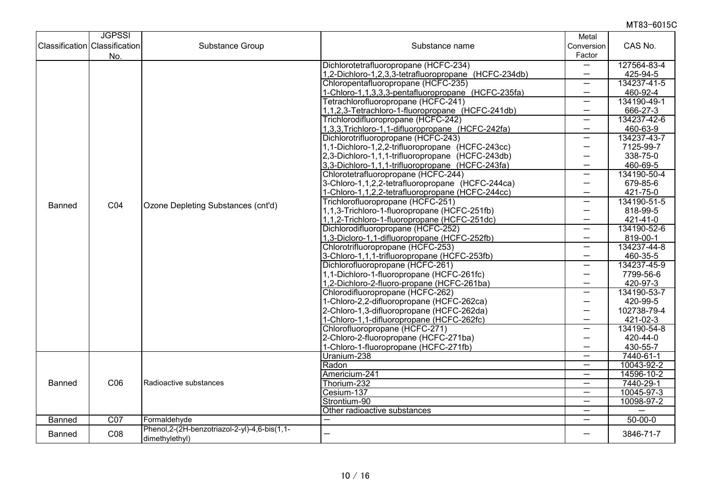|        | <b>JGPSSI</b>                 |                                                 |                                                      | Metal                    |               |
|--------|-------------------------------|-------------------------------------------------|------------------------------------------------------|--------------------------|---------------|
|        | Classification Classification | Substance Group                                 | Substance name                                       | Conversion               | CAS No.       |
|        | No.                           |                                                 |                                                      | Factor                   |               |
|        |                               |                                                 | Dichlorotetrafluoropropane (HCFC-234)                | $\overline{\phantom{0}}$ | 127564-83-4   |
|        |                               |                                                 | 1,2-Dichloro-1,2,3,3-tetrafluoropropane (HCFC-234db) | $\overline{\phantom{0}}$ | 425-94-5      |
|        |                               |                                                 | Chloropentafluoropropane (HCFC-235)                  | $\overline{\phantom{0}}$ | 134237-41-5   |
|        |                               |                                                 | 1-Chloro-1,1,3,3,3-pentafluoropropane (HCFC-235fa)   | $\overline{\phantom{0}}$ | 460-92-4      |
|        |                               |                                                 | Tetrachlorofluoropropane (HCFC-241)                  | $\overline{\phantom{0}}$ | 134190-49-1   |
|        |                               |                                                 | 1,1,2,3-Tetrachloro-1-fluoropropane (HCFC-241db)     | $\overline{\phantom{0}}$ | 666-27-3      |
|        |                               |                                                 | Trichlorodifluoropropane (HCFC-242)                  | $\overline{\phantom{0}}$ | 134237-42-6   |
|        |                               |                                                 | 1,3,3, Trichloro-1, 1-difluoropropane (HCFC-242fa)   | $\overline{\phantom{0}}$ | 460-63-9      |
|        |                               |                                                 | Dichlorotrifluoropropane (HCFC-243)                  | —                        | 134237-43-7   |
|        |                               |                                                 | 1,1-Dichloro-1,2,2-trifluoropropane (HCFC-243cc)     | $\overline{\phantom{0}}$ | 7125-99-7     |
|        |                               |                                                 | 2,3-Dichloro-1,1,1-trifluoropropane (HCFC-243db)     | $\overline{\phantom{0}}$ | 338-75-0      |
|        |                               |                                                 | 3,3-Dichloro-1,1,1-trifluoropropane (HCFC-243fa)     | —                        | 460-69-5      |
|        |                               |                                                 | Chlorotetrafluoropropane (HCFC-244)                  | $\overline{\phantom{0}}$ | 134190-50-4   |
|        |                               |                                                 | 3-Chloro-1,1,2,2-tetrafluoropropane (HCFC-244ca)     | $\overline{\phantom{0}}$ | 679-85-6      |
|        |                               |                                                 | 1-Chloro-1,1,2,2-tetrafluoropropane (HCFC-244cc)     | $\overline{\phantom{0}}$ | 421-75-0      |
|        | CO <sub>4</sub>               | Ozone Depleting Substances (cnt'd)              | Trichlorofluoropropane (HCFC-251)                    | $\overline{\phantom{0}}$ | 134190-51-5   |
| Banned |                               |                                                 | 1,1,3-Trichloro-1-fluoropropane (HCFC-251fb)         | $\overline{\phantom{0}}$ | 818-99-5      |
|        |                               |                                                 | 1,1,2-Trichloro-1-fluoropropane (HCFC-251dc)         | —                        | 421-41-0      |
|        |                               |                                                 | Dichlorodifluoropropane (HCFC-252)                   |                          | 134190-52-6   |
|        |                               |                                                 | 1,3-Dicloro-1,1-difluoropropane (HCFC-252fb)         | —                        | 819-00-1      |
|        |                               |                                                 | Chlorotrifluoropropane (HCFC-253)                    | $\overline{\phantom{0}}$ | 134237-44-8   |
|        |                               |                                                 | 3-Chloro-1,1,1-trifluoropropane (HCFC-253fb)         | $\overline{\phantom{0}}$ | 460-35-5      |
|        |                               |                                                 | Dichlorofluoropropane (HCFC-261)                     | —                        | 134237-45-9   |
|        |                               |                                                 | 1,1-Dichloro-1-fluoropropane (HCFC-261fc)            | —                        | 7799-56-6     |
|        |                               |                                                 | 1,2-Dichloro-2-fluoro-propane (HCFC-261ba)           |                          | 420-97-3      |
|        |                               |                                                 | Chlorodifluoropropane (HCFC-262)                     | —                        | 134190-53-7   |
|        |                               |                                                 | 1-Chloro-2,2-difluoropropane (HCFC-262ca)            | —                        | 420-99-5      |
|        |                               |                                                 | 2-Chloro-1,3-difluoropropane (HCFC-262da)            | —                        | 102738-79-4   |
|        |                               |                                                 | 1-Chloro-1,1-difluoropropane (HCFC-262fc)            | $\overline{\phantom{0}}$ | 421-02-3      |
|        |                               |                                                 | Chlorofluoropropane (HCFC-271)                       | $\overline{\phantom{0}}$ | 134190-54-8   |
|        |                               |                                                 | 2-Chloro-2-fluoropropane (HCFC-271ba)                | —                        | 420-44-0      |
|        |                               |                                                 | 1-Chloro-1-fluoropropane (HCFC-271fb)                | $\overline{\phantom{0}}$ | 430-55-7      |
|        |                               |                                                 | Uranium-238                                          |                          | 7440-61-1     |
|        |                               |                                                 | Radon                                                | $\overline{\phantom{0}}$ | 10043-92-2    |
|        |                               |                                                 | Americium-241                                        | —                        | 14596-10-2    |
| Banned | C06                           | Radioactive substances                          | Thorium-232                                          | $\overline{\phantom{0}}$ | 7440-29-1     |
|        |                               |                                                 | Cesium-137                                           | —                        | 10045-97-3    |
|        |                               |                                                 | Strontium-90                                         | $\overline{\phantom{0}}$ | 10098-97-2    |
|        |                               |                                                 | Other radioactive substances                         |                          |               |
| Banned | CO <sub>7</sub>               | Formaldehyde                                    | $\overline{\phantom{0}}$                             | —                        | $50 - 00 - 0$ |
| Banned | C <sub>08</sub>               | Phenol, 2-(2H-benzotriazol-2-yl)-4, 6-bis(1, 1- | $\overline{\phantom{0}}$                             | $\overline{\phantom{0}}$ | 3846-71-7     |
|        |                               | dimethylethyl)                                  |                                                      |                          |               |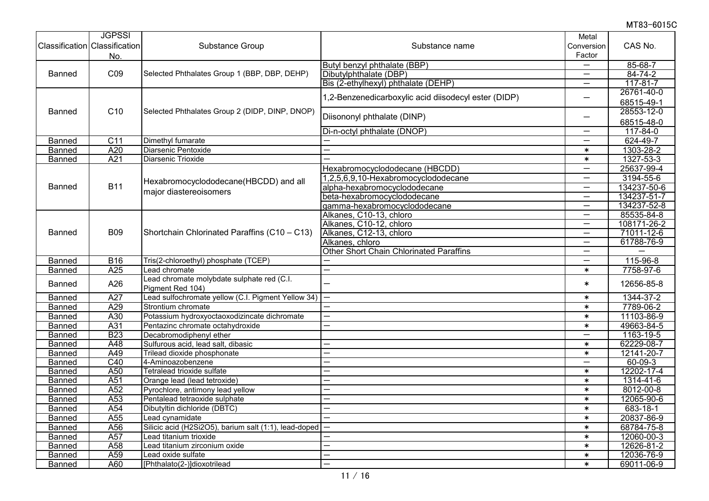| Classification Classification | <b>JGPSSI</b><br>No. | Substance Group                                                | Substance name                                       | Metal<br>Conversion<br>Factor | CAS No.        |
|-------------------------------|----------------------|----------------------------------------------------------------|------------------------------------------------------|-------------------------------|----------------|
|                               |                      |                                                                | Butyl benzyl phthalate (BBP)                         |                               | 85-68-7        |
| Banned                        | CO9                  | Selected Phthalates Group 1 (BBP, DBP, DEHP)                   | Dibutylphthalate (DBP)                               | —                             | $84 - 74 - 2$  |
|                               |                      |                                                                | Bis (2-ethylhexyl) phthalate (DEHP)                  | $\overline{\phantom{0}}$      | $117 - 81 - 7$ |
|                               |                      |                                                                | 1,2-Benzenedicarboxylic acid diisodecyl ester (DIDP) | $\overline{\phantom{0}}$      | 26761-40-0     |
|                               |                      |                                                                |                                                      |                               | 68515-49-1     |
| <b>Banned</b>                 | C <sub>10</sub>      | Selected Phthalates Group 2 (DIDP, DINP, DNOP)                 | Diisononyl phthalate (DINP)                          | —                             | 28553-12-0     |
|                               |                      |                                                                |                                                      |                               | 68515-48-0     |
|                               |                      |                                                                | Di-n-octyl phthalate (DNOP)                          | —                             | $117 - 84 - 0$ |
| Banned                        | C <sub>11</sub>      | Dimethyl fumarate                                              |                                                      | $\overline{\phantom{0}}$      | 624-49-7       |
| Banned                        | A20                  | Diarsenic Pentoxide                                            |                                                      | $\ast$                        | 1303-28-2      |
| Banned                        | A21                  | Diarsenic Trioxide                                             |                                                      | $\ast$                        | 1327-53-3      |
|                               |                      |                                                                | Hexabromocyclododecane (HBCDD)                       | $\qquad \qquad -$             | 25637-99-4     |
|                               |                      | Hexabromocyclododecane(HBCDD) and all                          | 1,2,5,6,9,10-Hexabromocyclododecane                  | —                             | 3194-55-6      |
| <b>Banned</b>                 | <b>B11</b>           | major diastereoisomers                                         | alpha-hexabromocyclododecane                         | $\overline{\phantom{0}}$      | 134237-50-6    |
|                               |                      |                                                                | beta-hexabromocyclododecane                          | —                             | 134237-51-7    |
|                               |                      |                                                                | gamma-hexabromocyclododecane                         | $\overline{\phantom{0}}$      | 134237-52-8    |
|                               |                      |                                                                | Alkanes, C10-13, chloro                              | —                             | 85535-84-8     |
|                               |                      |                                                                | Alkanes, C10-12, chloro                              | $\overline{\phantom{0}}$      | 108171-26-2    |
| <b>Banned</b>                 | <b>B09</b>           | Shortchain Chlorinated Paraffins (C10 - C13)                   | Alkanes, C12-13, chloro                              | $\overline{\phantom{m}}$      | 71011-12-6     |
|                               |                      |                                                                | Alkanes, chloro                                      | $\qquad \qquad -$             | 61788-76-9     |
|                               |                      |                                                                | <b>Other Short Chain Chlorinated Paraffins</b>       | $\overline{\phantom{0}}$      |                |
| Banned                        | <b>B16</b>           | Tris(2-chloroethyl) phosphate (TCEP)                           |                                                      | $\overline{\phantom{0}}$      | 115-96-8       |
| Banned                        | A25                  | ead chromate                                                   |                                                      | $\ast$                        | 7758-97-6      |
| <b>Banned</b>                 | A26                  | Lead chromate molybdate sulphate red (C.I.<br>Pigment Red 104) |                                                      | $\ast$                        | 12656-85-8     |
| <b>Banned</b>                 | A27                  | Lead sulfochromate yellow (C.I. Pigment Yellow 34)             | $\overline{\phantom{0}}$                             | $\ast$                        | 1344-37-2      |
| Banned                        | A29                  | Strontium chromate                                             | $\overline{\phantom{0}}$                             | $\ast$                        | 7789-06-2      |
| Banned                        | A30                  | Potassium hydroxyoctaoxodizincate dichromate                   |                                                      | $\ast$                        | 11103-86-9     |
| <b>Banned</b>                 | A31                  | Pentazinc chromate octahydroxide                               |                                                      | $\ast$                        | 49663-84-5     |
| Banned                        | <b>B23</b>           | Decabromodiphenyl ether                                        |                                                      | —                             | 1163-19-5      |
| Banned                        | A48                  | Sulfurous acid, lead salt, dibasic                             |                                                      | $\pmb{\ast}$                  | 62229-08-7     |
| <b>Banned</b>                 | A49                  | Trilead dioxide phosphonate                                    |                                                      | $\ast$                        | 12141-20-7     |
| Banned                        | C40                  | 4-Aminoazobenzene                                              |                                                      | $\overline{\phantom{0}}$      | $60 - 09 - 3$  |
| Banned                        | A50                  | Tetralead trioxide sulfate                                     | $\overline{\phantom{0}}$                             | $\ast$                        | 12202-17-4     |
| Banned                        | A51                  | Orange lead (lead tetroxide)                                   | $\overline{\phantom{0}}$                             | $\ast$                        | 1314-41-6      |
| <b>Banned</b>                 | A <sub>52</sub>      | Pyrochlore, antimony lead yellow                               |                                                      | $\ast$                        | 8012-00-8      |
| Banned                        | A53                  | Pentalead tetraoxide sulphate                                  | $\overline{\phantom{0}}$                             | $\ast$                        | 12065-90-6     |
| Banned                        | A54                  | Dibutyltin dichloride (DBTC)                                   |                                                      | $\ast$                        | 683-18-1       |
| Banned                        | A <sub>55</sub>      | Lead cynamidate                                                |                                                      | $\ast$                        | 20837-86-9     |
| Banned                        | A56                  | Silicic acid (H2Si2O5), barium salt (1:1), lead-doped          | $\overline{\phantom{0}}$                             | $\ast$                        | 68784-75-8     |
| <b>Banned</b>                 | A57                  | Lead titanium trioxide                                         |                                                      | $\ast$                        | 12060-00-3     |
| Banned                        | A58                  | Lead titanium zirconium oxide                                  |                                                      | $\ast$                        | 12626-81-2     |
| Banned                        | $\overline{A59}$     | Lead oxide sulfate                                             |                                                      | $\ast$                        | 12036-76-9     |
| Banned                        | A60                  | [Phthalato(2-)]dioxotrilead                                    | $\overline{\phantom{0}}$                             | $\ast$                        | 69011-06-9     |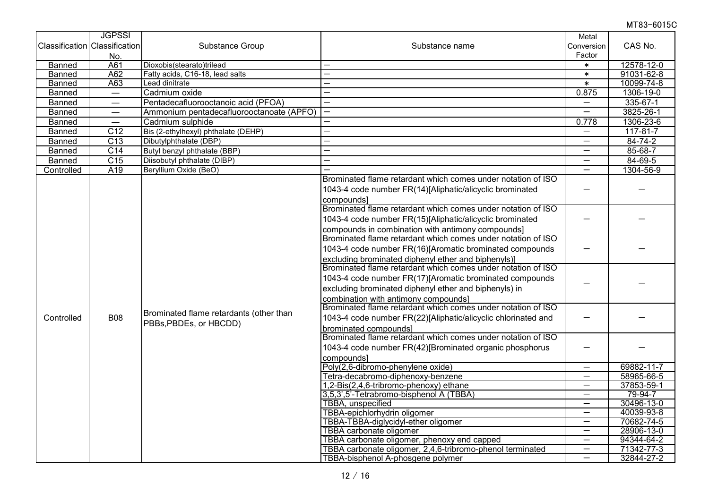|               | <b>JGPSSI</b>                 |                                                                                 |                                                               | Metal                            |                |
|---------------|-------------------------------|---------------------------------------------------------------------------------|---------------------------------------------------------------|----------------------------------|----------------|
|               | Classification Classification | Substance Group                                                                 | Substance name                                                | Conversion                       | CAS No.        |
|               | No.                           |                                                                                 |                                                               | Factor                           |                |
| <b>Banned</b> | A61                           | Dioxobis(stearato)trilead                                                       |                                                               | $\ast$                           | 12578-12-0     |
| Banned        | A62                           | Fatty acids, C16-18, lead salts                                                 | $\overline{\phantom{0}}$                                      | $\ast$                           | 91031-62-8     |
| Banned        | A63                           | Lead dinitrate                                                                  | ÷.                                                            | $\ast$                           | 10099-74-8     |
| Banned        | $\overline{\phantom{m}}$      | Cadmium oxide                                                                   | $\overline{\phantom{0}}$                                      | 0.875                            | 1306-19-0      |
| Banned        | $\overline{\phantom{0}}$      | Pentadecafluorooctanoic acid (PFOA)                                             | $\overline{\phantom{0}}$                                      | $\overline{\phantom{0}}$         | $335 - 67 - 1$ |
| Banned        |                               | Ammonium pentadecafluorooctanoate (APFO)                                        | $\overline{\phantom{0}}$                                      |                                  | 3825-26-1      |
| Banned        |                               | Cadmium sulphide                                                                | -                                                             | 0.778                            | 1306-23-6      |
| Banned        | $\overline{C12}$              | Bis (2-ethylhexyl) phthalate (DEHP)                                             | $\overline{\phantom{0}}$                                      | $\overline{\phantom{0}}$         | 117-81-7       |
| <b>Banned</b> | C <sub>13</sub>               | Dibutylphthalate (DBP)                                                          | $\overline{\phantom{0}}$                                      | $\overbrace{\phantom{12321111}}$ | $84 - 74 - 2$  |
| Banned        | C <sub>14</sub>               | Butyl benzyl phthalate (BBP)                                                    | $\overline{\phantom{0}}$                                      | $\qquad \qquad -$                | $85 - 68 - 7$  |
| <b>Banned</b> | C15                           | Diisobutyl phthalate (DIBP)                                                     |                                                               | $\overline{\phantom{0}}$         | 84-69-5        |
| Controlled    | A19                           | Beryllium Oxide (BeO)                                                           |                                                               | $\overline{\phantom{0}}$         | 1304-56-9      |
|               |                               |                                                                                 | Brominated flame retardant which comes under notation of ISO  |                                  |                |
|               |                               |                                                                                 | 1043-4 code number FR(14)[Aliphatic/alicyclic brominated      |                                  |                |
|               |                               |                                                                                 | compounds                                                     |                                  |                |
|               |                               |                                                                                 | Brominated flame retardant which comes under notation of ISO  |                                  |                |
|               |                               |                                                                                 | 1043-4 code number FR(15)[Aliphatic/alicyclic brominated      |                                  |                |
|               |                               |                                                                                 | compounds in combination with antimony compounds]             |                                  |                |
|               |                               |                                                                                 | Brominated flame retardant which comes under notation of ISO  |                                  |                |
|               |                               |                                                                                 | 1043-4 code number FR(16)[Aromatic brominated compounds       |                                  |                |
|               |                               |                                                                                 | excluding brominated diphenyl ether and biphenyls)]           |                                  |                |
|               |                               |                                                                                 | Brominated flame retardant which comes under notation of ISO  |                                  |                |
|               |                               |                                                                                 | 1043-4 code number FR(17)[Aromatic brominated compounds       |                                  |                |
|               |                               | Brominated flame retardants (other than<br><b>B08</b><br>PBBs, PBDEs, or HBCDD) | excluding brominated diphenyl ether and biphenyls) in         |                                  |                |
|               |                               |                                                                                 | combination with antimony compounds]                          |                                  |                |
|               |                               |                                                                                 | Brominated flame retardant which comes under notation of ISO  |                                  |                |
|               |                               |                                                                                 | 1043-4 code number FR(22)[Aliphatic/alicyclic chlorinated and |                                  |                |
|               |                               |                                                                                 | brominated compounds]                                         |                                  |                |
|               |                               |                                                                                 | Brominated flame retardant which comes under notation of ISO  |                                  |                |
|               |                               |                                                                                 | 1043-4 code number FR(42)[Brominated organic phosphorus       |                                  |                |
|               |                               |                                                                                 | compounds]                                                    |                                  |                |
|               |                               |                                                                                 | Poly(2,6-dibromo-phenylene oxide)                             |                                  | 69882-11-7     |
|               |                               |                                                                                 | Tetra-decabromo-diphenoxy-benzene                             | $\overbrace{\phantom{1232211}}$  | 58965-66-5     |
|               |                               |                                                                                 | 1,2-Bis(2,4,6-tribromo-phenoxy) ethane                        | $\overline{\phantom{m}}$         | 37853-59-1     |
|               |                               |                                                                                 | 3,5,3',5'-Tetrabromo-bisphenol A (TBBA)                       | $\overline{\phantom{0}}$         | 79-94-7        |
|               |                               |                                                                                 | TBBA, unspecified                                             | -                                | 30496-13-0     |
|               |                               |                                                                                 | TBBA-epichlorhydrin oligomer                                  | $\overbrace{\phantom{12321111}}$ | 40039-93-8     |
| Controlled    |                               |                                                                                 | TBBA-TBBA-diglycidyl-ether oligomer                           | $\overline{\phantom{0}}$         | 70682-74-5     |
|               |                               |                                                                                 | TBBA carbonate oligomer                                       | $\overbrace{\phantom{12322111}}$ | 28906-13-0     |
|               |                               |                                                                                 | TBBA carbonate oligomer, phenoxy end capped                   | $\overline{\phantom{0}}$         | 94344-64-2     |
|               |                               |                                                                                 | TBBA carbonate oligomer, 2,4,6-tribromo-phenol terminated     | $\overline{\phantom{m}}$         | 71342-77-3     |
|               |                               |                                                                                 | TBBA-bisphenol A-phosgene polymer                             | -                                | 32844-27-2     |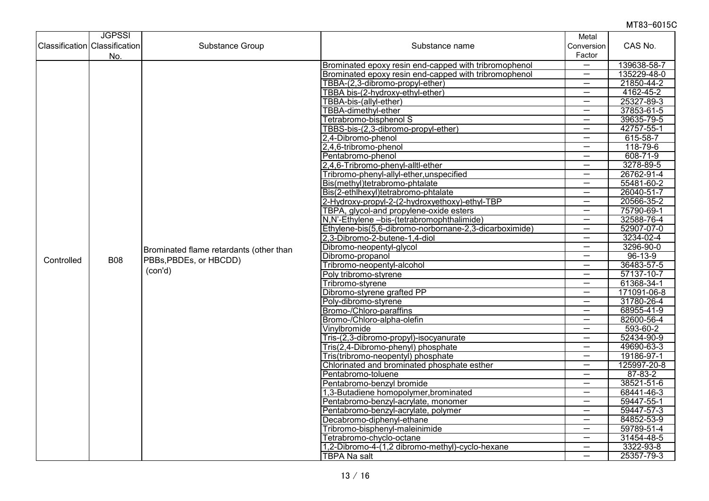|                                      | <b>JGPSSI</b> |                                         |                                                        | Metal                    |               |
|--------------------------------------|---------------|-----------------------------------------|--------------------------------------------------------|--------------------------|---------------|
| <b>Classification Classification</b> |               | Substance Group                         | Substance name                                         | Conversion               | CAS No.       |
|                                      | No.           |                                         |                                                        | Factor                   |               |
|                                      |               |                                         | Brominated epoxy resin end-capped with tribromophenol  | $\overline{\phantom{0}}$ | 139638-58-7   |
|                                      |               |                                         | Brominated epoxy resin end-capped with tribromophenol  |                          | 135229-48-0   |
|                                      |               |                                         | TBBA-(2,3-dibromo-propyl-ether)                        | —                        | 21850-44-2    |
|                                      |               |                                         | TBBA bis-(2-hydroxy-ethyl-ether)                       |                          | 4162-45-2     |
|                                      |               |                                         | TBBA-bis-(allyl-ether)                                 | $\overline{\phantom{0}}$ | 25327-89-3    |
|                                      |               |                                         | <b>TBBA-dimethyl-ether</b>                             | $\overline{\phantom{0}}$ | 37853-61-5    |
|                                      |               |                                         | Tetrabromo-bisphenol S                                 | —                        | 39635-79-5    |
|                                      |               |                                         | TBBS-bis-(2,3-dibromo-propyl-ether)                    | $\overline{\phantom{0}}$ | 42757-55-1    |
|                                      |               |                                         | 2,4-Dibromo-phenol                                     | $\overline{\phantom{0}}$ | 615-58-7      |
|                                      |               |                                         | 2,4,6-tribromo-phenol                                  | —                        | 118-79-6      |
|                                      |               |                                         | Pentabromo-phenol                                      | $\overline{\phantom{0}}$ | 608-71-9      |
|                                      |               |                                         | 2,4,6-Tribromo-phenyl-alltl-ether                      | $\overline{\phantom{0}}$ | 3278-89-5     |
|                                      |               |                                         | Tribromo-phenyl-allyl-ether, unspecified               | $\overline{\phantom{0}}$ | 26762-91-4    |
|                                      |               |                                         | Bis(methyl)tetrabromo-phtalate                         | $\overline{\phantom{0}}$ | 55481-60-2    |
|                                      |               |                                         | Bis(2-ethlhexyl)tetrabromo-phtalate                    | $\overline{\phantom{m}}$ | 26040-51-7    |
|                                      | <b>B08</b>    |                                         | 2-Hydroxy-propyl-2-(2-hydroxyethoxy)-ethyl-TBP         | $\overline{\phantom{0}}$ | 20566-35-2    |
|                                      |               |                                         | TBPA, glycol-and propylene-oxide esters                | —                        | 75790-69-1    |
|                                      |               |                                         | N,N'-Ethylene -bis-(tetrabromophthalimide)             | $\overline{\phantom{0}}$ | 32588-76-4    |
|                                      |               |                                         | Ethylene-bis(5,6-dibromo-norbornane-2,3-dicarboximide) | $\overline{\phantom{0}}$ | 52907-07-0    |
|                                      |               | Brominated flame retardants (other than | 2,3-Dibromo-2-butene-1,4-diol                          | —                        | 3234-02-4     |
|                                      |               |                                         | Dibromo-neopentyl-glycol                               | $\overline{\phantom{m}}$ | 3296-90-0     |
| Controlled                           |               | PBBs, PBDEs, or HBCDD)                  | Dibromo-propanol                                       | $\qquad \qquad -$        | $96 - 13 - 9$ |
|                                      |               | (con'd)                                 | Tribromo-neopentyl-alcohol                             | $\overline{\phantom{0}}$ | 36483-57-5    |
|                                      |               |                                         | Poly tribromo-styrene                                  | $\overline{\phantom{0}}$ | 57137-10-7    |
|                                      |               |                                         | Tribromo-styrene                                       | $\overline{\phantom{0}}$ | 61368-34-1    |
|                                      |               |                                         | Dibromo-styrene grafted PP                             | $\overline{\phantom{0}}$ | 171091-06-8   |
|                                      |               |                                         | Poly-dibromo-styrene                                   | $\overline{\phantom{0}}$ | 31780-26-4    |
|                                      |               |                                         | Bromo-/Chloro-paraffins                                |                          | 68955-41-9    |
|                                      |               |                                         | Bromo-/Chloro-alpha-olefin                             | —                        | 82600-56-4    |
|                                      |               |                                         | Vinylbromide                                           | $\overline{\phantom{0}}$ | 593-60-2      |
|                                      |               |                                         | Tris-(2,3-dibromo-propyl)-isocyanurate                 | $\overline{\phantom{m}}$ | 52434-90-9    |
|                                      |               |                                         | Tris(2,4-Dibromo-phenyl) phosphate                     | $\overline{\phantom{0}}$ | 49690-63-3    |
|                                      |               |                                         | Tris(tribromo-neopentyl) phosphate                     | $\overline{\phantom{m}}$ | 19186-97-1    |
|                                      |               |                                         | Chlorinated and brominated phosphate esther            |                          | 125997-20-8   |
|                                      |               |                                         | Pentabromo-toluene                                     | $\overline{\phantom{0}}$ | $87 - 83 - 2$ |
|                                      |               |                                         | Pentabromo-benzyl bromide                              | —                        | 38521-51-6    |
|                                      |               |                                         | 1,3-Butadiene homopolymer, brominated                  | $\overline{\phantom{0}}$ | 68441-46-3    |
|                                      |               |                                         | Pentabromo-benzyl-acrylate, monomer                    | $\overline{\phantom{0}}$ | 59447-55-1    |
|                                      |               |                                         | Pentabromo-benzyl-acrylate, polymer                    | $\qquad \qquad$          | 59447-57-3    |
|                                      |               |                                         | Decabromo-diphenyl-ethane                              | $\overline{\phantom{0}}$ | 84852-53-9    |
|                                      |               |                                         | Tribromo-bisphenyl-maleinimide                         | $\qquad \qquad -$        | 59789-51-4    |
|                                      |               |                                         | Tetrabromo-chyclo-octane                               | $\overline{\phantom{0}}$ | 31454-48-5    |
|                                      |               |                                         | 1,2-Dibromo-4-(1,2 dibromo-methyl)-cyclo-hexane        |                          | 3322-93-8     |
|                                      |               |                                         | <b>TBPA Na salt</b>                                    | $\overline{\phantom{0}}$ | 25357-79-3    |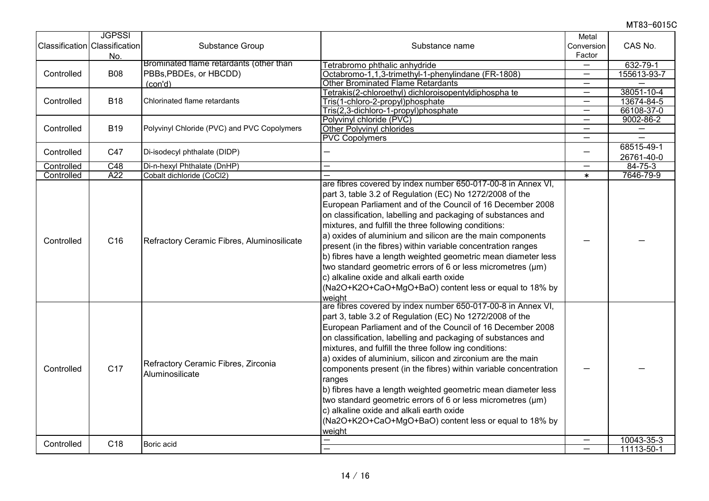|            | <b>JGPSSI</b><br>Classification Classification<br>No. | Substance Group                                        | Substance name                                                                                                                                                                                                                                                                                                                                                                                                                                                                                                                                                                                                                                                                                               | Metal<br>Conversion<br>Factor | CAS No.       |
|------------|-------------------------------------------------------|--------------------------------------------------------|--------------------------------------------------------------------------------------------------------------------------------------------------------------------------------------------------------------------------------------------------------------------------------------------------------------------------------------------------------------------------------------------------------------------------------------------------------------------------------------------------------------------------------------------------------------------------------------------------------------------------------------------------------------------------------------------------------------|-------------------------------|---------------|
|            |                                                       | Brominated flame retardants (other than                | Tetrabromo phthalic anhydride                                                                                                                                                                                                                                                                                                                                                                                                                                                                                                                                                                                                                                                                                |                               | 632-79-1      |
| Controlled | <b>B08</b>                                            | PBBs, PBDEs, or HBCDD)                                 | Octabromo-1,1,3-trimethyl-1-phenylindane (FR-1808)                                                                                                                                                                                                                                                                                                                                                                                                                                                                                                                                                                                                                                                           | $\overline{\phantom{0}}$      | 155613-93-7   |
|            |                                                       | (con'd)                                                | <b>Other Brominated Flame Retardants</b>                                                                                                                                                                                                                                                                                                                                                                                                                                                                                                                                                                                                                                                                     |                               |               |
| Controlled | <b>B18</b>                                            | Chlorinated flame retardants                           | Tetrakis(2-chloroethyl) dichloroisopentyldiphospha te                                                                                                                                                                                                                                                                                                                                                                                                                                                                                                                                                                                                                                                        | $\overline{\phantom{0}}$      | 38051-10-4    |
|            |                                                       |                                                        | Tris(1-chloro-2-propyl)phosphate                                                                                                                                                                                                                                                                                                                                                                                                                                                                                                                                                                                                                                                                             | $\overline{\phantom{0}}$      | 13674-84-5    |
|            |                                                       |                                                        | Tris(2,3-dichloro-1-propyl)phosphate                                                                                                                                                                                                                                                                                                                                                                                                                                                                                                                                                                                                                                                                         | $\overline{\phantom{0}}$      | 66108-37-0    |
|            | <b>B19</b>                                            | Polyvinyl Chloride (PVC) and PVC Copolymers            | Polyvinyl chloride (PVC)                                                                                                                                                                                                                                                                                                                                                                                                                                                                                                                                                                                                                                                                                     | —                             | 9002-86-2     |
| Controlled |                                                       |                                                        | <b>Other Polyvinyl chlorides</b>                                                                                                                                                                                                                                                                                                                                                                                                                                                                                                                                                                                                                                                                             |                               |               |
|            |                                                       |                                                        | <b>PVC Copolymers</b>                                                                                                                                                                                                                                                                                                                                                                                                                                                                                                                                                                                                                                                                                        |                               |               |
| Controlled | C47                                                   | Di-isodecyl phthalate (DIDP)                           |                                                                                                                                                                                                                                                                                                                                                                                                                                                                                                                                                                                                                                                                                                              | —                             | 68515-49-1    |
|            |                                                       |                                                        |                                                                                                                                                                                                                                                                                                                                                                                                                                                                                                                                                                                                                                                                                                              |                               | 26761-40-0    |
| Controlled | C48                                                   | Di-n-hexyl Phthalate (DnHP)                            |                                                                                                                                                                                                                                                                                                                                                                                                                                                                                                                                                                                                                                                                                                              | $\qquad \qquad -$             | $84 - 75 - 3$ |
| Controlled | A22                                                   | Cobalt dichloride (CoCl2)                              |                                                                                                                                                                                                                                                                                                                                                                                                                                                                                                                                                                                                                                                                                                              | $\ast$                        | 7646-79-9     |
| Controlled | C <sub>16</sub>                                       | Refractory Ceramic Fibres, Aluminosilicate             | are fibres covered by index number 650-017-00-8 in Annex VI,<br>part 3, table 3.2 of Regulation (EC) No 1272/2008 of the<br>European Parliament and of the Council of 16 December 2008<br>on classification, labelling and packaging of substances and<br>mixtures, and fulfill the three following conditions:<br>a) oxides of aluminium and silicon are the main components<br>present (in the fibres) within variable concentration ranges<br>b) fibres have a length weighted geometric mean diameter less<br>two standard geometric errors of 6 or less micrometres (μm)<br>c) alkaline oxide and alkali earth oxide<br>(Na2O+K2O+CaO+MgO+BaO) content less or equal to 18% by<br>weight                |                               |               |
| Controlled | C <sub>17</sub>                                       | Refractory Ceramic Fibres, Zirconia<br>Aluminosilicate | are fibres covered by index number 650-017-00-8 in Annex VI,<br>part 3, table 3.2 of Regulation (EC) No 1272/2008 of the<br>European Parliament and of the Council of 16 December 2008<br>on classification, labelling and packaging of substances and<br>mixtures, and fulfill the three follow ing conditions:<br>a) oxides of aluminium, silicon and zirconium are the main<br>components present (in the fibres) within variable concentration<br>ranges<br>b) fibres have a length weighted geometric mean diameter less<br>two standard geometric errors of 6 or less micrometres (µm)<br>c) alkaline oxide and alkali earth oxide<br>(Na2O+K2O+CaO+MgO+BaO) content less or equal to 18% by<br>weight |                               |               |
| Controlled | C <sub>18</sub>                                       | Boric acid                                             |                                                                                                                                                                                                                                                                                                                                                                                                                                                                                                                                                                                                                                                                                                              | $\qquad \qquad -$             | 10043-35-3    |
|            |                                                       |                                                        |                                                                                                                                                                                                                                                                                                                                                                                                                                                                                                                                                                                                                                                                                                              |                               | 11113-50-1    |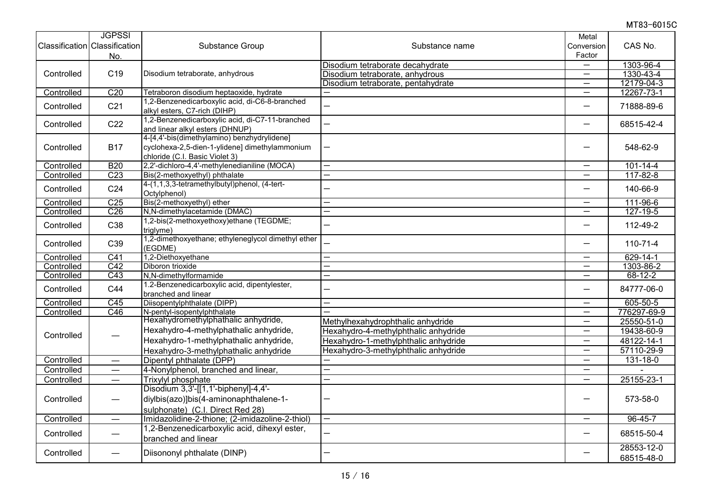|            | <b>JGPSSI</b>                 |                                                    |                                      | Metal                    |                |
|------------|-------------------------------|----------------------------------------------------|--------------------------------------|--------------------------|----------------|
|            | Classification Classification | Substance Group                                    | Substance name                       | Conversion               | CAS No.        |
|            | No.                           |                                                    |                                      | Factor                   |                |
|            |                               |                                                    | Disodium tetraborate decahydrate     | —                        | 1303-96-4      |
| Controlled | C <sub>19</sub>               | Disodium tetraborate, anhydrous                    | Disodium tetraborate, anhydrous      | $\overline{\phantom{0}}$ | 1330-43-4      |
|            |                               |                                                    | Disodium tetraborate, pentahydrate   | $\overline{\phantom{0}}$ | 12179-04-3     |
| Controlled | C20                           | Tetraboron disodium heptaoxide, hydrate            |                                      | $\overline{\phantom{0}}$ | 12267-73-1     |
|            |                               | 1,2-Benzenedicarboxylic acid, di-C6-8-branched     |                                      |                          |                |
| Controlled | C <sub>21</sub>               | alkyl esters, C7-rich (DIHP)                       |                                      | $\overline{\phantom{0}}$ | 71888-89-6     |
|            |                               | 1,2-Benzenedicarboxylic acid, di-C7-11-branched    |                                      |                          |                |
| Controlled | C22                           | and linear alkyl esters (DHNUP)                    |                                      | —                        | 68515-42-4     |
|            |                               | 4-[4,4'-bis(dimethylamino) benzhydrylidene]        |                                      |                          |                |
| Controlled | <b>B17</b>                    | cyclohexa-2,5-dien-1-ylidene] dimethylammonium     |                                      |                          | 548-62-9       |
|            |                               | chloride (C.I. Basic Violet 3)                     |                                      |                          |                |
| Controlled | <b>B20</b>                    | 2,2'-dichloro-4,4'-methylenedianiline (MOCA)       | $\overline{\phantom{0}}$             | $\overline{\phantom{0}}$ | $101 - 14 - 4$ |
| Controlled | C <sub>23</sub>               | Bis(2-methoxyethyl) phthalate                      |                                      | —                        | $117 - 82 - 8$ |
|            |                               | 4-(1, 1, 3, 3-tetramethylbutyl) phenol, (4-tert-   |                                      |                          |                |
| Controlled | C <sub>24</sub>               | Octylphenol)                                       |                                      | $\overline{\phantom{0}}$ | 140-66-9       |
| Controlled | C <sub>25</sub>               | Bis(2-methoxyethyl) ether                          |                                      | —                        | 111-96-6       |
| Controlled | C <sub>26</sub>               | N,N-dimethylacetamide (DMAC)                       | $\overline{\phantom{0}}$             | $\overline{\phantom{m}}$ | $127 - 19 - 5$ |
| Controlled | C38                           | 1,2-bis(2-methoxyethoxy)ethane (TEGDME;            |                                      | —                        | 112-49-2       |
|            |                               | triglyme)                                          |                                      |                          |                |
| Controlled | C39                           | 1,2-dimethoxyethane; ethyleneglycol dimethyl ether |                                      | $\overline{\phantom{0}}$ | $110 - 71 - 4$ |
|            |                               | (EGDME)                                            |                                      |                          |                |
| Controlled | C <sub>41</sub>               | 1,2-Diethoxyethane                                 |                                      | —                        | $629 - 14 - 1$ |
| Controlled | C42                           | Diboron trioxide                                   | $\overline{\phantom{0}}$             | $\overline{\phantom{0}}$ | 1303-86-2      |
| Controlled | $\overline{C43}$              | N,N-dimethylformamide                              | $\overline{\phantom{0}}$             | $\qquad \qquad -$        | $68 - 12 - 2$  |
| Controlled | C44                           | 1.2-Benzenedicarboxylic acid, dipentylester,       |                                      | —                        | 84777-06-0     |
|            |                               | branched and linear                                |                                      |                          |                |
| Controlled | C45                           | Diisopentylphthalate (DIPP)                        |                                      |                          | 605-50-5       |
| Controlled | $\overline{C46}$              | N-pentyl-isopentylphthalate                        |                                      | —                        | 776297-69-9    |
|            |                               | Hexahydromethylphathalic anhydride,                | Methylhexahydrophthalic anhydride    |                          | 25550-51-0     |
| Controlled |                               | Hexahydro-4-methylphathalic anhydride,             | Hexahydro-4-methylphthalic anhydride | $\overline{\phantom{0}}$ | 19438-60-9     |
|            |                               | Hexahydro-1-methylphathalic anhydride,             | Hexahydro-1-methylphthalic anhydride | $\overline{\phantom{0}}$ | 48122-14-1     |
|            |                               | Hexahydro-3-methylphathalic anhydride              | Hexahydro-3-methylphthalic anhydride |                          | 57110-29-9     |
| Controlled |                               | Dipentyl phthalate (DPP)                           |                                      | —                        | $131 - 18 - 0$ |
| Controlled | $\overline{\phantom{0}}$      | 4-Nonylphenol, branched and linear,                |                                      | —                        |                |
| Controlled | $\qquad \qquad -$             | <b>Trixylyl phosphate</b>                          |                                      | $\qquad \qquad -$        | 25155-23-1     |
| Controlled | $\qquad \qquad -$             | Disodium 3,3'-[[1,1'-biphenyl]-4,4'-               |                                      |                          |                |
|            |                               | diylbis(azo)]bis(4-aminonaphthalene-1-             |                                      |                          | 573-58-0       |
|            |                               | sulphonate) (C.I. Direct Red 28)                   |                                      |                          |                |
| Controlled | $\qquad \qquad$               | Imidazolidine-2-thione; (2-imidazoline-2-thiol)    | $\overline{\phantom{0}}$             | $\overline{\phantom{m}}$ | $96 - 45 - 7$  |
| Controlled |                               | 1,2-Benzenedicarboxylic acid, dihexyl ester,       |                                      |                          |                |
|            |                               | branched and linear                                |                                      | —                        | 68515-50-4     |
|            |                               |                                                    |                                      |                          | 28553-12-0     |
| Controlled | $\overline{\phantom{0}}$      | Diisononyl phthalate (DINP)                        |                                      |                          | 68515-48-0     |